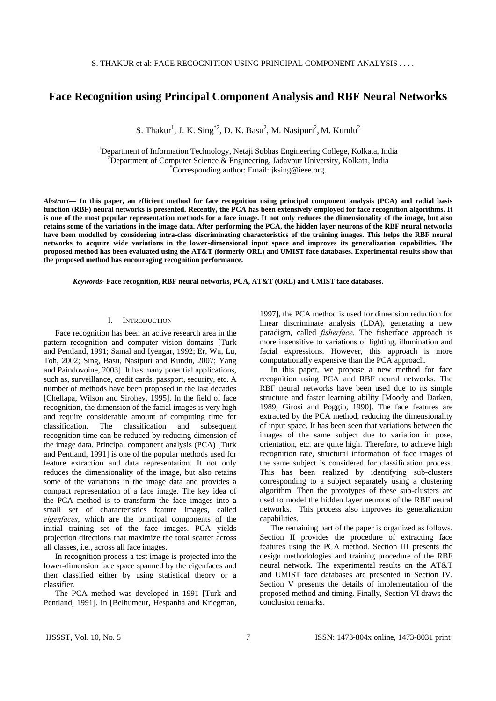# **Face Recognition using Principal Component Analysis and RBF Neural Networks**

S. Thakur<sup>1</sup>, J. K. Sing<sup>\*2</sup>, D. K. Basu<sup>2</sup>, M. Nasipuri<sup>2</sup>, M. Kundu<sup>2</sup>

<sup>1</sup>Department of Information Technology, Netaji Subhas Engineering College, Kolkata, India <sup>2</sup>Department of Computer Science, & Engineering, Jodeymur University, Kolkata, India  $^{2}$ Department of Computer Science & Engineering, Jadavpur University, Kolkata, India Corresponding author: Email: jksing@ieee.org.

*Abstract***— In this paper, an efficient method for face recognition using principal component analysis (PCA) and radial basis function (RBF) neural networks is presented. Recently, the PCA has been extensively employed for face recognition algorithms. It is one of the most popular representation methods for a face image. It not only reduces the dimensionality of the image, but also retains some of the variations in the image data. After performing the PCA, the hidden layer neurons of the RBF neural networks have been modelled by considering intra-class discriminating characteristics of the training images. This helps the RBF neural networks to acquire wide variations in the lower-dimensional input space and improves its generalization capabilities. The proposed method has been evaluated using the AT&T (formerly ORL) and UMIST face databases. Experimental results show that the proposed method has encouraging recognition performance.** 

*Keywords-* **Face recognition, RBF neural networks, PCA, AT&T (ORL) and UMIST face databases.** 

### I. INTRODUCTION

Face recognition has been an active research area in the pattern recognition and computer vision domains [Turk and Pentland, 1991; Samal and Iyengar, 1992; Er, Wu, Lu, Toh, 2002; Sing, Basu, Nasipuri and Kundu, 2007; Yang and Paindovoine, 2003]. It has many potential applications, such as, surveillance, credit cards, passport, security, etc. A number of methods have been proposed in the last decades [Chellapa, Wilson and Sirohey, 1995]. In the field of face recognition, the dimension of the facial images is very high and require considerable amount of computing time for classification. The classification and subsequent recognition time can be reduced by reducing dimension of the image data. Principal component analysis (PCA) [Turk and Pentland, 1991] is one of the popular methods used for feature extraction and data representation. It not only reduces the dimensionality of the image, but also retains some of the variations in the image data and provides a compact representation of a face image. The key idea of the PCA method is to transform the face images into a small set of characteristics feature images, called *eigenfaces*, which are the principal components of the initial training set of the face images. PCA yields projection directions that maximize the total scatter across all classes, i.e., across all face images.

In recognition process a test image is projected into the lower-dimension face space spanned by the eigenfaces and then classified either by using statistical theory or a classifier.

The PCA method was developed in 1991 [Turk and Pentland, 1991]. In [Belhumeur, Hespanha and Kriegman,

1997], the PCA method is used for dimension reduction for linear discriminate analysis (LDA), generating a new paradigm, called *fisherface*. The fisherface approach is more insensitive to variations of lighting, illumination and facial expressions. However, this approach is more computationally expensive than the PCA approach.

In this paper, we propose a new method for face recognition using PCA and RBF neural networks. The RBF neural networks have been used due to its simple structure and faster learning ability [Moody and Darken, 1989; Girosi and Poggio, 1990]. The face features are extracted by the PCA method, reducing the dimensionality of input space. It has been seen that variations between the images of the same subject due to variation in pose, orientation, etc. are quite high. Therefore, to achieve high recognition rate, structural information of face images of the same subject is considered for classification process. This has been realized by identifying sub-clusters corresponding to a subject separately using a clustering algorithm. Then the prototypes of these sub-clusters are used to model the hidden layer neurons of the RBF neural networks. This process also improves its generalization capabilities.

The remaining part of the paper is organized as follows. Section II provides the procedure of extracting face features using the PCA method. Section III presents the design methodologies and training procedure of the RBF neural network. The experimental results on the AT&T and UMIST face databases are presented in Section IV. Section V presents the details of implementation of the proposed method and timing. Finally, Section VI draws the conclusion remarks.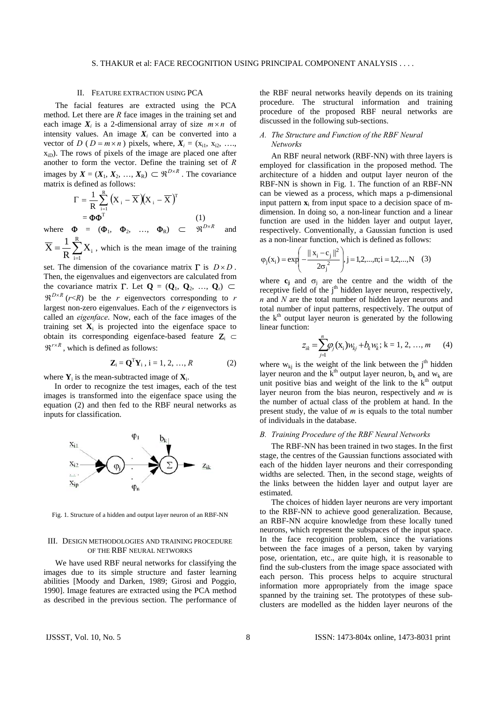#### II. FEATURE EXTRACTION USING PCA

The facial features are extracted using the PCA method. Let there are *R* face images in the training set and each image  $X_i$  is a 2-dimensional array of size  $m \times n$  of intensity values. An image  $X_i$  can be converted into a vector of *D* ( $D = m \times n$ ) pixels, where,  $X_i = (x_{i1}, x_{i2}, \ldots, x_{i1})$  $x_{iD}$ ). The rows of pixels of the image are placed one after another to form the vector. Define the training set of *R* images by  $X = (X_1, X_2, ..., X_R) \subset \mathbb{R}^{D \times R}$ . The covariance matrix is defined as follows:

$$
\Gamma = \frac{1}{R} \sum_{i=1}^{R} (X_i - \overline{X})(X_i - \overline{X})^T
$$
  
=  $\Phi \Phi^T$  (1)

where  $\boldsymbol{\Phi} = (\boldsymbol{\Phi}_1, \boldsymbol{\Phi}_2, \dots, \boldsymbol{\Phi}_R) \subset \mathbb{R}^{D \times R}$  and

 $=\frac{1}{R}\sum_{i=1}^{R}$  $\overline{X} = \frac{1}{R} \sum_{i=1}^{R} X_i$ , which is the mean image of the training

set. The dimension of the covariance matrix Γ is *D* × *D* . Then, the eigenvalues and eigenvectors are calculated from the covariance matrix  $\Gamma$ . Let  $\mathbf{Q} = (\mathbf{Q}_1, \mathbf{Q}_2, ..., \mathbf{Q}_r) \subset \mathbf{Q}_r$  $\mathbb{R}^{D\times R}$  (*r*<*R*) be the *r* eigenvectors corresponding to *r* largest non-zero eigenvalues. Each of the *r* eigenvectors is called an *eigenface*. Now, each of the face images of the training set  $X_i$  is projected into the eigenface space to obtain its corresponding eigenface-based feature  $\mathbf{Z}_i \subset$  $\mathfrak{R}^{r \times R}$ , which is defined as follows:

$$
\mathbf{Z}_{i} = \mathbf{Q}^{T} \mathbf{Y}_{i}, i = 1, 2, ..., R
$$
 (2)

where  $\mathbf{Y}_i$  is the mean-subtracted image of  $\mathbf{X}_i$ .

In order to recognize the test images, each of the test images is transformed into the eigenface space using the equation (2) and then fed to the RBF neural networks as inputs for classification.



Fig. 1. Structure of a hidden and output layer neuron of an RBF-NN

### III. DESIGN METHODOLOGIES AND TRAINING PROCEDURE OF THE RBF NEURAL NETWORKS

We have used RBF neural networks for classifying the images due to its simple structure and faster learning abilities [Moody and Darken, 1989; Girosi and Poggio, 1990]. Image features are extracted using the PCA method as described in the previous section. The performance of the RBF neural networks heavily depends on its training procedure. The structural information and training procedure of the proposed RBF neural networks are discussed in the following sub-sections.

### *A. The Structure and Function of the RBF Neural Networks*

An RBF neural network (RBF-NN) with three layers is employed for classification in the proposed method. The architecture of a hidden and output layer neuron of the RBF-NN is shown in Fig. 1. The function of an RBF-NN can be viewed as a process, which maps a p-dimensional input pattern  $\mathbf{x}_i$  from input space to a decision space of mdimension. In doing so, a non-linear function and a linear function are used in the hidden layer and output layer, respectively. Conventionally, a Gaussian function is used as a non-linear function, which is defined as follows:

$$
\varphi_j(x_i) = \exp\left(-\frac{\|x_i - c_j\|^2}{2\sigma_j^2}\right), j = 1, 2, ..., n; i = 1, 2, ..., N
$$
 (3)

where  $c_j$  and  $\sigma_j$  are the centre and the width of the receptive field of the  $j<sup>th</sup>$  hidden layer neuron, respectively, *n* and *N* are the total number of hidden layer neurons and total number of input patterns, respectively. The output of the  $k<sup>th</sup>$  output layer neuron is generated by the following linear function:

$$
z_{ik} = \sum_{j=1}^{n} \varphi_j(x_i) w_{kj} + b_k w_k; k = 1, 2, ..., m \qquad (4)
$$

where  $w_{ki}$  is the weight of the link between the j<sup>th</sup> hidden layer neuron and the  $k<sup>th</sup>$  output layer neuron,  $b_k$  and  $w_k$  are unit positive bias and weight of the link to the  $k<sup>th</sup>$  output layer neuron from the bias neuron, respectively and *m* is the number of actual class of the problem at hand. In the present study, the value of *m* is equals to the total number of individuals in the database.

### *B. Training Procedure of the RBF Neural Networks*

The RBF-NN has been trained in two stages. In the first stage, the centres of the Gaussian functions associated with each of the hidden layer neurons and their corresponding widths are selected. Then, in the second stage, weights of the links between the hidden layer and output layer are estimated.

The choices of hidden layer neurons are very important to the RBF-NN to achieve good generalization. Because, an RBF-NN acquire knowledge from these locally tuned neurons, which represent the subspaces of the input space. In the face recognition problem, since the variations between the face images of a person, taken by varying pose, orientation, etc., are quite high, it is reasonable to find the sub-clusters from the image space associated with each person. This process helps to acquire structural information more appropriately from the image space spanned by the training set. The prototypes of these subclusters are modelled as the hidden layer neurons of the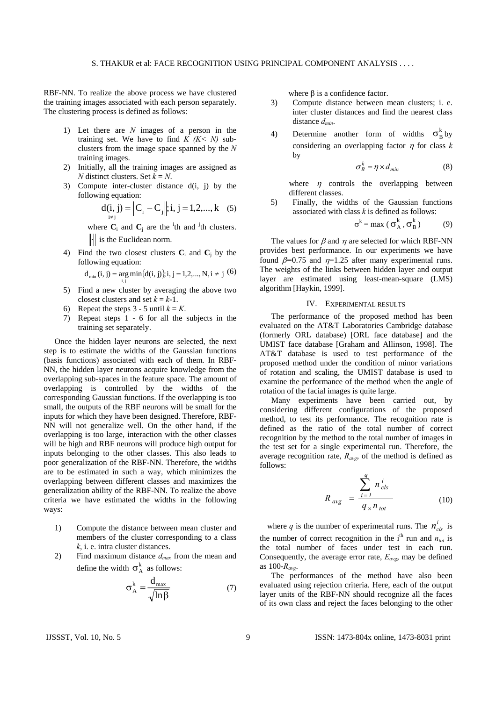RBF-NN. To realize the above process we have clustered the training images associated with each person separately. The clustering process is defined as follows:

- 1) Let there are *N* images of a person in the training set. We have to find  $K$  ( $K < N$ ) subclusters from the image space spanned by the *N* training images.
- 2) Initially, all the training images are assigned as *N* distinct clusters. Set *k* = *N*.
- 3) Compute inter-cluster distance d(i, j) by the following equation:

$$
d(i, j) = ||Ci - Cj||; i, j = 1, 2, ..., k
$$
 (5)

where  $\mathbf{C}_i$  and  $\mathbf{C}_j$  are the <sup>i</sup>th and <sup>j</sup>th clusters.  $\|\cdot\|$  is the Euclidean norm.

4) Find the two closest clusters  $C_i$  and  $C_j$  by the following equation:

 $d_{\min} (i, j) = \underset{i,j}{\arg \min} { {d(i, j)}; i, j = 1,2,..., N, i \neq j}$  (6)

- 5) Find a new cluster by averaging the above two closest clusters and set  $k = k-1$ .
- 6) Repeat the steps  $3 5$  until  $k = K$ .
- 7) Repeat steps 1 6 for all the subjects in the training set separately.

Once the hidden layer neurons are selected, the next step is to estimate the widths of the Gaussian functions (basis functions) associated with each of them. In RBF-NN, the hidden layer neurons acquire knowledge from the overlapping sub-spaces in the feature space. The amount of overlapping is controlled by the widths of the corresponding Gaussian functions. If the overlapping is too small, the outputs of the RBF neurons will be small for the inputs for which they have been designed. Therefore, RBF-NN will not generalize well. On the other hand, if the overlapping is too large, interaction with the other classes will be high and RBF neurons will produce high output for inputs belonging to the other classes. This also leads to poor generalization of the RBF-NN. Therefore, the widths are to be estimated in such a way, which minimizes the overlapping between different classes and maximizes the generalization ability of the RBF-NN. To realize the above criteria we have estimated the widths in the following ways:

- 1) Compute the distance between mean cluster and members of the cluster corresponding to a class *k*, i. e. intra cluster distances.
- 2) Find maximum distance *dmax* from the mean and define the width  $\sigma_A^k$  as follows:

$$
\sigma_{\rm A}^{\rm k} = \frac{d_{\rm max}}{\sqrt{\ln \beta}}\tag{7}
$$

where  $\beta$  is a confidence factor.

- 3) Compute distance between mean clusters; i. e. inter cluster distances and find the nearest class distance *dmin*.
- 4) Determine another form of widths  $\sigma_R^k$  by considering an overlapping factor  $\eta$  for class  $k$ by

$$
\sigma_B^k = \eta \times d_{min} \tag{8}
$$

where  $\eta$  controls the overlapping between different classes.

5) Finally, the widths of the Gaussian functions associated with class *k* is defined as follows:

$$
\sigma^{k} = \max (\sigma^{k}_{A}, \sigma^{k}_{B})
$$
 (9)

The values for  $\beta$  and  $\eta$  are selected for which RBF-NN provides best performance. In our experiments we have found  $\beta$ =0.75 and  $\eta$ =1.25 after many experimental runs. The weights of the links between hidden layer and output layer are estimated using least-mean-square (LMS) algorithm [Haykin, 1999].

### IV. EXPERIMENTAL RESULTS

The performance of the proposed method has been evaluated on the AT&T Laboratories Cambridge database (formerly ORL database) [ORL face database] and the UMIST face database [Graham and Allinson, 1998]. The AT&T database is used to test performance of the proposed method under the condition of minor variations of rotation and scaling, the UMIST database is used to examine the performance of the method when the angle of rotation of the facial images is quite large.

Many experiments have been carried out, by considering different configurations of the proposed method, to test its performance. The recognition rate is defined as the ratio of the total number of correct recognition by the method to the total number of images in the test set for a single experimental run. Therefore, the average recognition rate,  $R_{avg}$ , of the method is defined as follows:

$$
R_{avg} = \frac{\sum_{i=1}^{q} n_{cls}^{i}}{q_{\times} n_{tot}}
$$
 (10)

where *q* is the number of experimental runs. The  $n_{cls}^{i}$  is the number of correct recognition in the  $i<sup>th</sup>$  run and  $n<sub>tot</sub>$  is the total number of faces under test in each run. Consequently, the average error rate,  $E_{avg}$ , may be defined as 100-*Ravg*.

The performances of the method have also been evaluated using rejection criteria. Here, each of the output layer units of the RBF-NN should recognize all the faces of its own class and reject the faces belonging to the other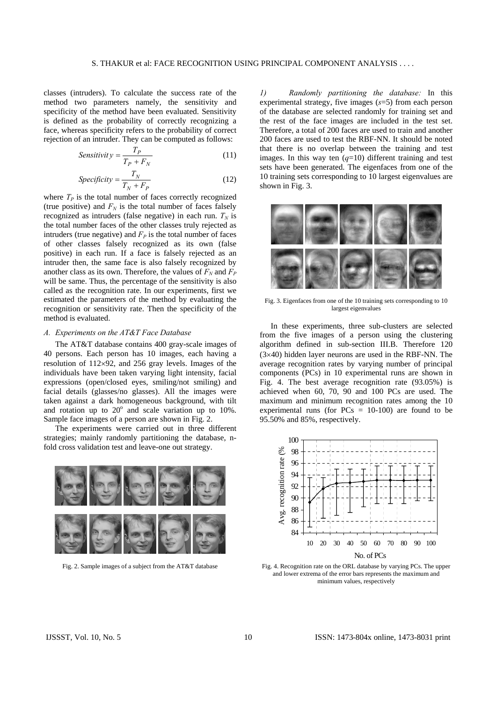classes (intruders). To calculate the success rate of the method two parameters namely, the sensitivity and specificity of the method have been evaluated. Sensitivity is defined as the probability of correctly recognizing a face, whereas specificity refers to the probability of correct rejection of an intruder. They can be computed as follows:

$$
Sensitivity = \frac{T_P}{T_P + F_N} \tag{11}
$$

$$
Specificity = \frac{T_N}{T_N + F_P}
$$
 (12)

where  $T_p$  is the total number of faces correctly recognized (true positive) and  $F_N$  is the total number of faces falsely recognized as intruders (false negative) in each run.  $T_N$  is the total number faces of the other classes truly rejected as intruders (true negative) and  $F_p$  is the total number of faces of other classes falsely recognized as its own (false positive) in each run. If a face is falsely rejected as an intruder then, the same face is also falsely recognized by another class as its own. Therefore, the values of  $F_N$  and  $F_P$ will be same. Thus, the percentage of the sensitivity is also called as the recognition rate. In our experiments, first we estimated the parameters of the method by evaluating the recognition or sensitivity rate. Then the specificity of the method is evaluated.

## *A. Experiments on the AT&T Face Database*

The AT&T database contains 400 gray-scale images of 40 persons. Each person has 10 images, each having a resolution of 112×92, and 256 gray levels. Images of the individuals have been taken varying light intensity, facial expressions (open/closed eyes, smiling/not smiling) and facial details (glasses/no glasses). All the images were taken against a dark homogeneous background, with tilt and rotation up to  $20^{\circ}$  and scale variation up to  $10\%$ . Sample face images of a person are shown in Fig. 2.

The experiments were carried out in three different strategies; mainly randomly partitioning the database, nfold cross validation test and leave-one out strategy.



Fig. 2. Sample images of a subject from the AT&T database

*1) Randomly partitioning the database:* In this experimental strategy, five images (*s*=5) from each person of the database are selected randomly for training set and the rest of the face images are included in the test set. Therefore, a total of 200 faces are used to train and another 200 faces are used to test the RBF-NN. It should be noted that there is no overlap between the training and test images. In this way ten  $(q=10)$  different training and test sets have been generated. The eigenfaces from one of the 10 training sets corresponding to 10 largest eigenvalues are shown in Fig. 3.



Fig. 3. Eigenfaces from one of the 10 training sets corresponding to 10 largest eigenvalues

In these experiments, three sub-clusters are selected from the five images of a person using the clustering algorithm defined in sub-section III.B. Therefore 120 (3×40) hidden layer neurons are used in the RBF-NN. The average recognition rates by varying number of principal components (PCs) in 10 experimental runs are shown in Fig. 4. The best average recognition rate (93.05%) is achieved when 60, 70, 90 and 100 PCs are used. The maximum and minimum recognition rates among the 10 experimental runs (for  $PCs = 10-100$ ) are found to be 95.50% and 85%, respectively.



Fig. 4. Recognition rate on the ORL database by varying PCs. The upper and lower extrema of the error bars represents the maximum and minimum values, respectively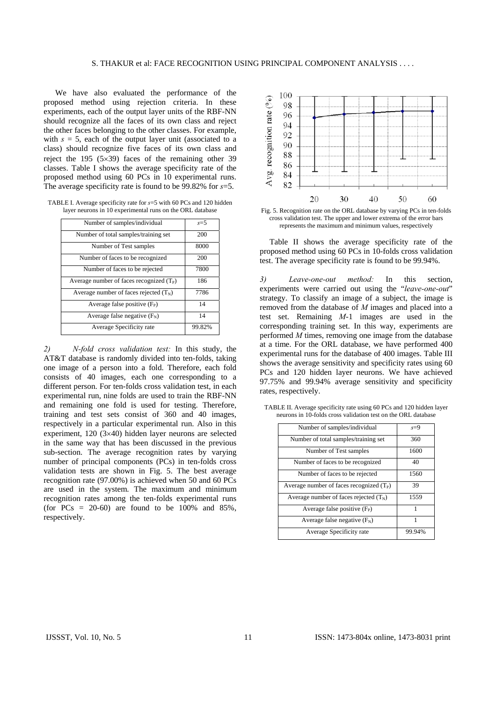We have also evaluated the performance of the proposed method using rejection criteria. In these experiments, each of the output layer units of the RBF-NN should recognize all the faces of its own class and reject the other faces belonging to the other classes. For example, with  $s = 5$ , each of the output layer unit (associated to a class) should recognize five faces of its own class and reject the 195 (5×39) faces of the remaining other 39 classes. Table I shows the average specificity rate of the proposed method using 60 PCs in 10 experimental runs. The average specificity rate is found to be 99.82% for *s*=5.

TABLE I. Average specificity rate for *s*=5 with 60 PCs and 120 hidden layer neurons in 10 experimental runs on the ORL database

| Number of samples/individual               | $s=5$  |
|--------------------------------------------|--------|
| Number of total samples/training set       | 200    |
| Number of Test samples                     | 8000   |
| Number of faces to be recognized           | 200    |
| Number of faces to be rejected             | 7800   |
| Average number of faces recognized $(T_P)$ | 186    |
| Average number of faces rejected $(T_N)$   | 7786   |
| Average false positive $(F_P)$             | 14     |
| Average false negative $(F_N)$             | 14     |
| Average Specificity rate                   | 99.82% |

*2) N-fold cross validation test:* In this study, the AT&T database is randomly divided into ten-folds, taking one image of a person into a fold. Therefore, each fold consists of 40 images, each one corresponding to a different person. For ten-folds cross validation test, in each experimental run, nine folds are used to train the RBF-NN and remaining one fold is used for testing. Therefore, training and test sets consist of 360 and 40 images, respectively in a particular experimental run. Also in this experiment, 120 (3×40) hidden layer neurons are selected in the same way that has been discussed in the previous sub-section. The average recognition rates by varying number of principal components (PCs) in ten-folds cross validation tests are shown in Fig. 5. The best average recognition rate (97.00%) is achieved when 50 and 60 PCs are used in the system. The maximum and minimum recognition rates among the ten-folds experimental runs (for  $PCs = 20-60$ ) are found to be  $100\%$  and 85%, respectively.



Fig. 5. Recognition rate on the ORL database by varying PCs in ten-folds cross validation test. The upper and lower extrema of the error bars represents the maximum and minimum values, respectively

Table II shows the average specificity rate of the proposed method using 60 PCs in 10-folds cross validation test. The average specificity rate is found to be 99.94%.

*3) Leave-one-out method:* In this section, experiments were carried out using the "*leave-one-out*" strategy. To classify an image of a subject, the image is removed from the database of *M* images and placed into a test set. Remaining *M*-1 images are used in the corresponding training set. In this way, experiments are performed *M* times, removing one image from the database at a time. For the ORL database, we have performed 400 experimental runs for the database of 400 images. Table III shows the average sensitivity and specificity rates using 60 PCs and 120 hidden layer neurons. We have achieved 97.75% and 99.94% average sensitivity and specificity rates, respectively.

| Number of samples/individual               | $s=9$  |
|--------------------------------------------|--------|
| Number of total samples/training set       | 360    |
| Number of Test samples                     | 1600   |
| Number of faces to be recognized.          | 40     |
| Number of faces to be rejected             | 1560   |
| Average number of faces recognized $(T_P)$ | 39     |
| Average number of faces rejected $(T_N)$   | 1559   |
| Average false positive $(F_P)$             | 1      |
| Average false negative $(F_N)$             | 1      |
| Average Specificity rate                   | 99.94% |

TABLE II. Average specificity rate using 60 PCs and 120 hidden layer neurons in 10-folds cross validation test on the ORL database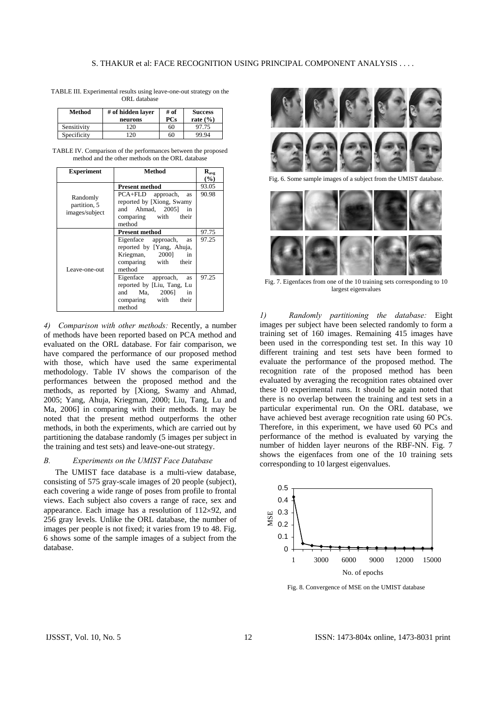| TABLE III. Experimental results using leave-one-out strategy on the |              |  |  |
|---------------------------------------------------------------------|--------------|--|--|
|                                                                     | ORL database |  |  |

| Method      | # of hidden laver<br>neurons | # of<br>PCs | <b>Success</b><br>rate $(\% )$ |
|-------------|------------------------------|-------------|--------------------------------|
| Sensitivity | 120                          | 60          | 97.75                          |
| Specificity | 20                           | 60          | 99.94                          |

TABLE IV. Comparison of the performances between the proposed method and the other methods on the ORL database

| <b>Experiment</b> | Method                         | $R_{\rm avg}$ |
|-------------------|--------------------------------|---------------|
|                   |                                | (%)           |
|                   | <b>Present method</b>          | 93.05         |
| Randomly          | PCA+FLD approach,<br>as        | 90.98         |
| partition, 5      | reported by [Xiong, Swamy      |               |
| images/subject    | and Ahmad, 2005] in            |               |
|                   | comparing with their           |               |
|                   | method                         |               |
|                   | <b>Present method</b>          | 97.75         |
|                   | Eigenface approach,<br>as      | 97.25         |
|                   | reported by [Yang, Ahuja,      |               |
|                   | Kriegman, 2000]<br>in          |               |
|                   | comparing with their           |               |
| Leave-one-out     | method                         |               |
|                   | Eigenface approach,<br>as      | 97.25         |
|                   | reported by [Liu, Tang, Lu     |               |
|                   | and Ma, 2006]<br>$\mathbf{in}$ |               |
|                   | comparing with their           |               |
|                   | method                         |               |

*4) Comparison with other methods:* Recently, a number of methods have been reported based on PCA method and evaluated on the ORL database. For fair comparison, we have compared the performance of our proposed method with those, which have used the same experimental methodology. Table IV shows the comparison of the performances between the proposed method and the methods, as reported by [Xiong, Swamy and Ahmad, 2005; Yang, Ahuja, Kriegman, 2000; Liu, Tang, Lu and Ma, 2006] in comparing with their methods. It may be noted that the present method outperforms the other methods, in both the experiments, which are carried out by partitioning the database randomly (5 images per subject in the training and test sets) and leave-one-out strategy.

# *B. Experiments on the UMIST Face Database*

The UMIST face database is a multi-view database, consisting of 575 gray-scale images of 20 people (subject), each covering a wide range of poses from profile to frontal views. Each subject also covers a range of race, sex and appearance. Each image has a resolution of 112×92, and 256 gray levels. Unlike the ORL database, the number of images per people is not fixed; it varies from 19 to 48. Fig. 6 shows some of the sample images of a subject from the database.



Fig. 6. Some sample images of a subject from the UMIST database.



Fig. 7. Eigenfaces from one of the 10 training sets corresponding to 10 largest eigenvalues

*1) Randomly partitioning the database:* Eight images per subject have been selected randomly to form a training set of 160 images. Remaining 415 images have been used in the corresponding test set. In this way 10 different training and test sets have been formed to evaluate the performance of the proposed method. The recognition rate of the proposed method has been evaluated by averaging the recognition rates obtained over these 10 experimental runs. It should be again noted that there is no overlap between the training and test sets in a particular experimental run. On the ORL database, we have achieved best average recognition rate using 60 PCs. Therefore, in this experiment, we have used 60 PCs and performance of the method is evaluated by varying the number of hidden layer neurons of the RBF-NN. Fig. 7 shows the eigenfaces from one of the 10 training sets corresponding to 10 largest eigenvalues.



Fig. 8. Convergence of MSE on the UMIST database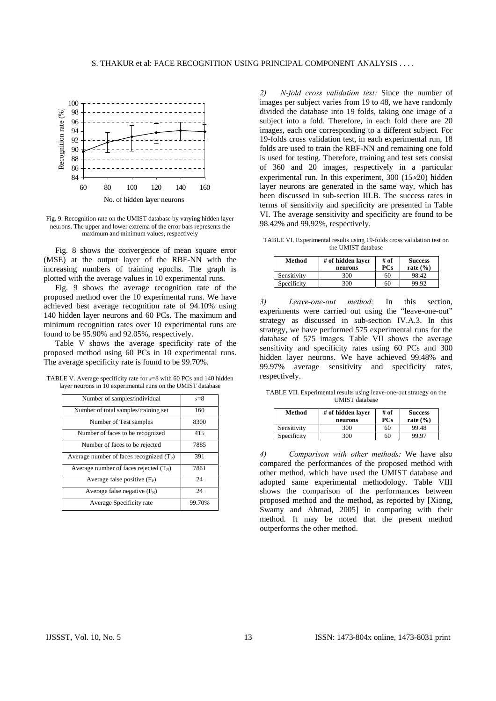

Fig. 9. Recognition rate on the UMIST database by varying hidden layer neurons. The upper and lower extrema of the error bars represents the maximum and minimum values, respectively

Fig. 8 shows the convergence of mean square error (MSE) at the output layer of the RBF-NN with the increasing numbers of training epochs. The graph is plotted with the average values in 10 experimental runs.

Fig. 9 shows the average recognition rate of the proposed method over the 10 experimental runs. We have achieved best average recognition rate of 94.10% using 140 hidden layer neurons and 60 PCs. The maximum and minimum recognition rates over 10 experimental runs are found to be 95.90% and 92.05%, respectively.

Table V shows the average specificity rate of the proposed method using 60 PCs in 10 experimental runs. The average specificity rate is found to be 99.70%.

TABLE V. Average specificity rate for *s*=8 with 60 PCs and 140 hidden layer neurons in 10 experimental runs on the UMIST database

| Number of samples/individual               | $s=8$  |
|--------------------------------------------|--------|
| Number of total samples/training set       | 160    |
| Number of Test samples                     | 8300   |
| Number of faces to be recognized           | 415    |
| Number of faces to be rejected             | 7885   |
| Average number of faces recognized $(T_P)$ | 391    |
| Average number of faces rejected $(T_N)$   | 7861   |
| Average false positive $(F_P)$             | 24     |
| Average false negative $(F_N)$             | 24     |
| Average Specificity rate                   | 99.70% |

*2) N-fold cross validation test:* Since the number of images per subject varies from 19 to 48, we have randomly divided the database into 19 folds, taking one image of a subject into a fold. Therefore, in each fold there are 20 images, each one corresponding to a different subject. For 19-folds cross validation test, in each experimental run, 18 folds are used to train the RBF-NN and remaining one fold is used for testing. Therefore, training and test sets consist of 360 and 20 images, respectively in a particular experimental run. In this experiment, 300 (15×20) hidden layer neurons are generated in the same way, which has been discussed in sub-section III.B. The success rates in terms of sensitivity and specificity are presented in Table VI. The average sensitivity and specificity are found to be 98.42% and 99.92%, respectively.

TABLE VI. Experimental results using 19-folds cross validation test on the UMIST database

| Method      | # of hidden laver<br>neurons | # of<br>PCs | <b>Success</b><br>rate $(\% )$ |
|-------------|------------------------------|-------------|--------------------------------|
| Sensitivity | 300                          | 60          | 98.42                          |
| Specificity | 300                          | 60          | 99.92                          |

*3) Leave-one-out method:* In this section, experiments were carried out using the "leave-one-out" strategy as discussed in sub-section IV.A.3. In this strategy, we have performed 575 experimental runs for the database of 575 images. Table VII shows the average sensitivity and specificity rates using 60 PCs and 300 hidden layer neurons. We have achieved 99.48% and 99.97% average sensitivity and specificity rates, respectively.

TABLE VII. Experimental results using leave-one-out strategy on the UMIST database

| Method      | # of hidden laver<br>neurons | # of<br>PCs | <b>Success</b><br>rate $(\% )$ |
|-------------|------------------------------|-------------|--------------------------------|
| Sensitivity | 300                          | 60          | 99.48                          |
| Specificity | 300                          | 60          | 99.97                          |

*4) Comparison with other methods:* We have also compared the performances of the proposed method with other method, which have used the UMIST database and adopted same experimental methodology. Table VIII shows the comparison of the performances between proposed method and the method, as reported by [Xiong, Swamy and Ahmad, 2005] in comparing with their method. It may be noted that the present method outperforms the other method.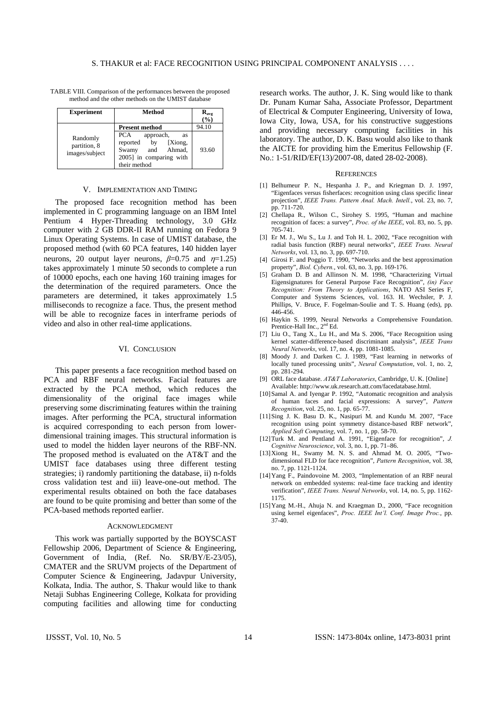TABLE VIII. Comparison of the performances between the proposed method and the other methods on the UMIST database

| <b>Experiment</b>                          | Method                                                                                                                | $R_{\text{avg}}$<br>(%) |
|--------------------------------------------|-----------------------------------------------------------------------------------------------------------------------|-------------------------|
|                                            | <b>Present method</b>                                                                                                 | 94.10                   |
| Randomly<br>partition, 8<br>images/subject | PCA<br>approach,<br>as<br>[Xiong,<br>reported<br>by<br>and Ahmad.<br>Swamy<br>2005] in comparing with<br>their method | 93.60                   |

#### V. IMPLEMENTATION AND TIMING

The proposed face recognition method has been implemented in C programming language on an IBM Intel Pentium 4 Hyper-Threading technology, 3.0 GHz computer with 2 GB DDR-II RAM running on Fedora 9 Linux Operating Systems. In case of UMIST database, the proposed method (with 60 PCA features, 140 hidden layer neurons, 20 output layer neurons,  $\beta$ =0.75 and  $\eta$ =1.25) takes approximately 1 minute 50 seconds to complete a run of 10000 epochs, each one having 160 training images for the determination of the required parameters. Once the parameters are determined, it takes approximately 1.5 milliseconds to recognize a face. Thus, the present method will be able to recognize faces in interframe periods of video and also in other real-time applications.

### VI. CONCLUSION

This paper presents a face recognition method based on PCA and RBF neural networks. Facial features are extracted by the PCA method, which reduces the dimensionality of the original face images while preserving some discriminating features within the training images. After performing the PCA, structural information is acquired corresponding to each person from lowerdimensional training images. This structural information is used to model the hidden layer neurons of the RBF-NN. The proposed method is evaluated on the AT&T and the UMIST face databases using three different testing strategies; i) randomly partitioning the database, ii) n-folds cross validation test and iii) leave-one-out method. The experimental results obtained on both the face databases are found to be quite promising and better than some of the PCA-based methods reported earlier.

### ACKNOWLEDGMENT

This work was partially supported by the BOYSCAST Fellowship 2006, Department of Science & Engineering, Government of India, (Ref. No. SR/BY/E-23/05), CMATER and the SRUVM projects of the Department of Computer Science & Engineering, Jadavpur University, Kolkata, India. The author, S. Thakur would like to thank Netaji Subhas Engineering College, Kolkata for providing computing facilities and allowing time for conducting research works. The author, J. K. Sing would like to thank Dr. Punam Kumar Saha, Associate Professor, Department of Electrical & Computer Engineering, University of Iowa, Iowa City, Iowa, USA, for his constructive suggestions and providing necessary computing facilities in his laboratory. The author, D. K. Basu would also like to thank the AICTE for providing him the Emeritus Fellowship (F. No.: 1-51/RID/EF(13)/2007-08, dated 28-02-2008).

#### **REFERENCES**

- [1] Belhumeur P. N., Hespanha J. P., and Kriegman D. J. 1997, "Eigenfaces versus fisherfaces: recognition using class specific linear projection", *IEEE Trans. Pattern Anal. Mach. Intell.*, vol. 23, no. 7, pp. 711-720.
- [2] Chellapa R., Wilson C., Sirohey S. 1995, "Human and machine recognition of faces: a survey", *Proc. of the IEEE*, vol. 83, no. 5, pp. 705-741.
- [3] Er M. J., Wu S., Lu J. and Toh H. L. 2002, "Face recognition with radial basis function (RBF) neural networks", *IEEE Trans. Neural Networks*, vol. 13, no. 3, pp. 697-710.
- [4] Girosi F. and Poggio T. 1990, "Networks and the best approximation property", *Biol. Cybern.*, vol. 63, no. 3, pp. 169-176.
- [5] Graham D. B and Allinson N. M. 1998, "Characterizing Virtual Eigensignatures for General Purpose Face Recognition", *(in) Face Recognition: From Theory to Applications*, NATO ASI Series F, Computer and Systems Sciences, vol. 163. H. Wechsler, P. J. Phillips, V. Bruce, F. Fogelman-Soulie and T. S. Huang (eds), pp. 446-456.
- [6] Haykin S. 1999, Neural Networks a Comprehensive Foundation. Prentice-Hall Inc., 2<sup>nd</sup> Ed.
- [7] Liu O., Tang X., Lu H., and Ma S. 2006, "Face Recognition using kernel scatter-difference-based discriminant analysis", *IEEE Trans Neural Networks*, vol. 17, no. 4, pp. 1081-1085.
- [8] Moody J. and Darken C. J. 1989, "Fast learning in networks of locally tuned processing units", *Neural Computation*, vol. 1, no. 2, pp. 281-294.
- [9] ORL face database. *AT&T Laboratories*, Cambridge, U. K. [Online] Available: http://www.uk.research.att.com/facedatabase.html.
- [10] Samal A. and Iyengar P. 1992, "Automatic recognition and analysis of human faces and facial expressions: A survey", *Pattern Recognition*, vol. 25, no. 1, pp. 65-77.
- [11] Sing J. K. Basu D. K., Nasipuri M. and Kundu M. 2007, "Face recognition using point symmetry distance-based RBF network", *Applied Soft Computing*, vol. 7, no. 1, pp. 58-70.
- [12] Turk M. and Pentland A. 1991, "Eigenface for recognition", *J. Cognitive Neuroscience*, vol. 3, no. 1, pp. 71–86.
- $[13]$  Xiong H., Swamy M. N. S. and Ahmad M. O. 2005, "Twodimensional FLD for face recognition", *Pattern Recognition*, vol. 38, no. 7, pp. 1121-1124.
- [14] Yang F., Paindovoine M. 2003, "Implementation of an RBF neural network on embedded systems: real-time face tracking and identity verification", *IEEE Trans. Neural Networks*, vol. 14, no. 5, pp. 1162- 1175.
- [15] Yang M.-H., Ahuja N. and Kraegman D., 2000, "Face recognition using kernel eigenfaces", *Proc. IEEE Int'l. Conf. Image Proc.*, pp. 37-40.